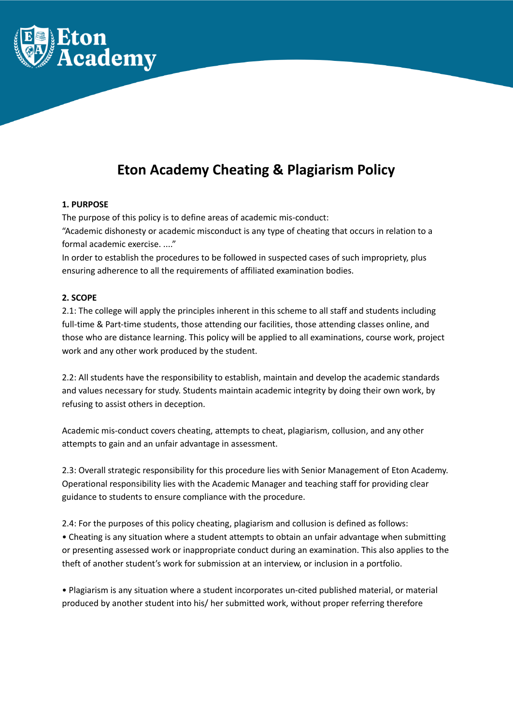

# **Eton Academy Cheating & Plagiarism Policy**

## **1. PURPOSE**

The purpose of this policy is to define areas of academic mis-conduct:

"Academic dishonesty or academic misconduct is any type of cheating that occurs in relation to a formal academic exercise. ...."

In order to establish the procedures to be followed in suspected cases of such impropriety, plus ensuring adherence to all the requirements of affiliated examination bodies.

## **2. SCOPE**

2.1: The college will apply the principles inherent in this scheme to all staff and students including full-time & Part-time students, those attending our facilities, those attending classes online, and those who are distance learning. This policy will be applied to all examinations, course work, project work and any other work produced by the student.

2.2: All students have the responsibility to establish, maintain and develop the academic standards and values necessary for study. Students maintain academic integrity by doing their own work, by refusing to assist others in deception.

Academic mis-conduct covers cheating, attempts to cheat, plagiarism, collusion, and any other attempts to gain and an unfair advantage in assessment.

2.3: Overall strategic responsibility for this procedure lies with Senior Management of Eton Academy. Operational responsibility lies with the Academic Manager and teaching staff for providing clear guidance to students to ensure compliance with the procedure.

2.4: For the purposes of this policy cheating, plagiarism and collusion is defined as follows:

• Cheating is any situation where a student attempts to obtain an unfair advantage when submitting or presenting assessed work or inappropriate conduct during an examination. This also applies to the theft of another student's work for submission at an interview, or inclusion in a portfolio.

• Plagiarism is any situation where a student incorporates un-cited published material, or material produced by another student into his/ her submitted work, without proper referring therefore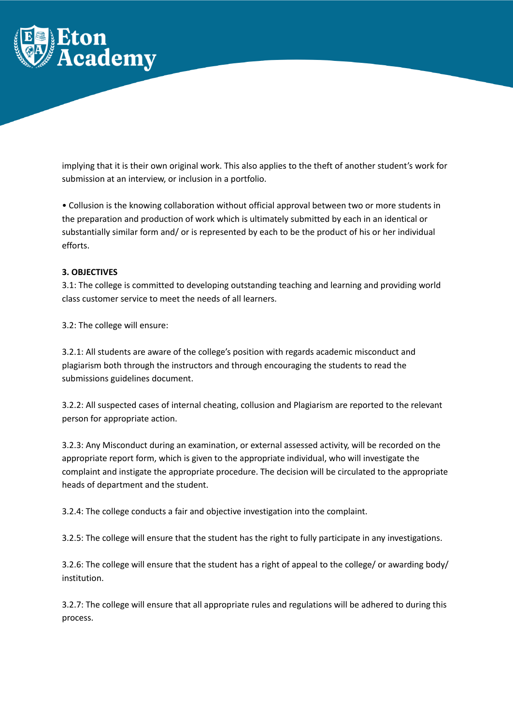

implying that it is their own original work. This also applies to the theft of another student's work for submission at an interview, or inclusion in a portfolio.

• Collusion is the knowing collaboration without official approval between two or more students in the preparation and production of work which is ultimately submitted by each in an identical or substantially similar form and/ or is represented by each to be the product of his or her individual efforts.

## **3. OBJECTIVES**

3.1: The college is committed to developing outstanding teaching and learning and providing world class customer service to meet the needs of all learners.

3.2: The college will ensure:

3.2.1: All students are aware of the college's position with regards academic misconduct and plagiarism both through the instructors and through encouraging the students to read the submissions guidelines document.

3.2.2: All suspected cases of internal cheating, collusion and Plagiarism are reported to the relevant person for appropriate action.

3.2.3: Any Misconduct during an examination, or external assessed activity, will be recorded on the appropriate report form, which is given to the appropriate individual, who will investigate the complaint and instigate the appropriate procedure. The decision will be circulated to the appropriate heads of department and the student.

3.2.4: The college conducts a fair and objective investigation into the complaint.

3.2.5: The college will ensure that the student has the right to fully participate in any investigations.

3.2.6: The college will ensure that the student has a right of appeal to the college/ or awarding body/ institution.

3.2.7: The college will ensure that all appropriate rules and regulations will be adhered to during this process.